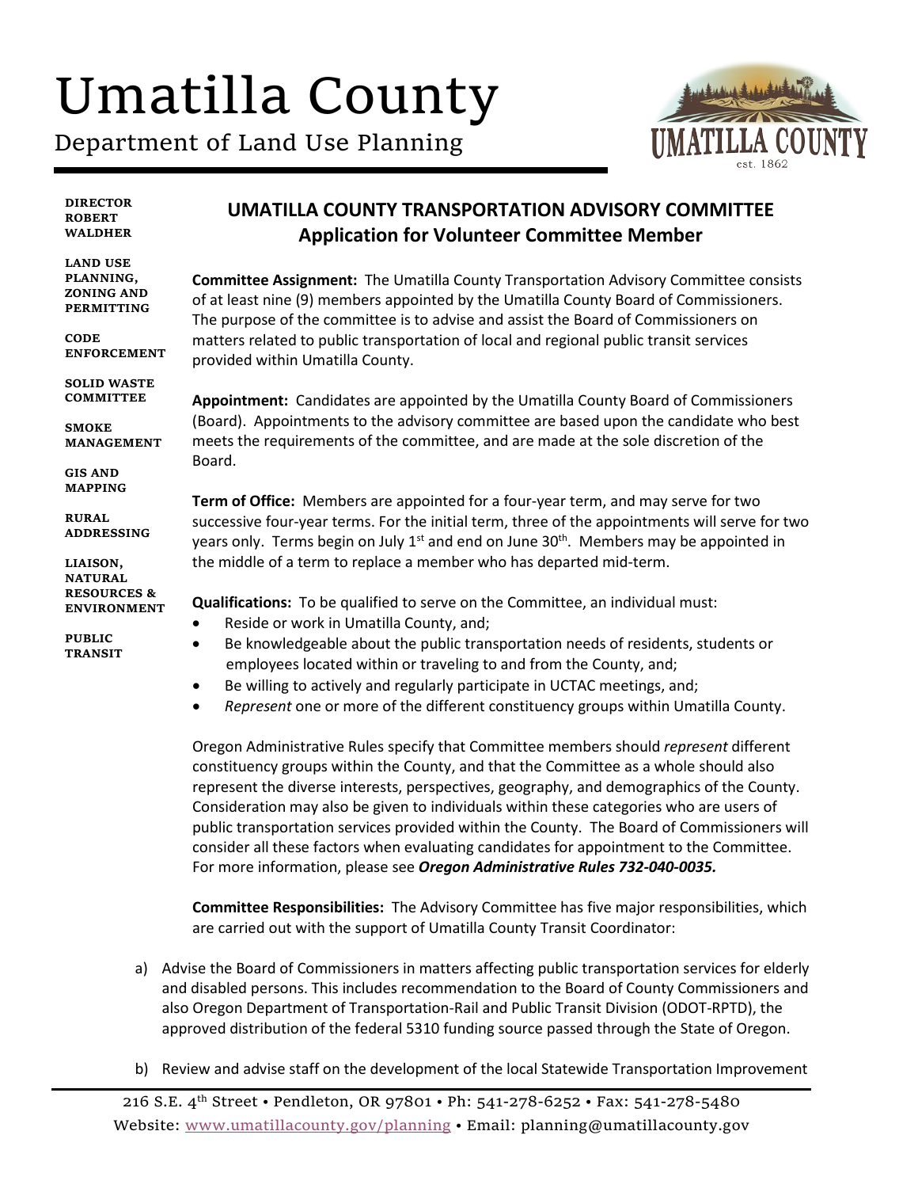## Umatilla County

Department of Land Use Planning



**DIRECTOR ROBERT WALDHER LAND USE ENFORCEMENT LIAISON, UMATILLA COUNTY TRANSPORTATION ADVISORY COMMITTEE Application for Volunteer Committee Member Committee Assignment:** The Umatilla County Transportation Advisory Committee consists of at least nine (9) members appointed by the Umatilla County Board of Commissioners. The purpose of the committee is to advise and assist the Board of Commissioners on matters related to public transportation of local and regional public transit services provided within Umatilla County. **Appointment:** Candidates are appointed by the Umatilla County Board of Commissioners (Board). Appointments to the advisory committee are based upon the candidate who best meets the requirements of the committee, and are made at the sole discretion of the Board. **Term of Office:** Members are appointed for a four-year term, and may serve for two successive four-year terms. For the initial term, three of the appointments will serve for two years only. Terms begin on July  $1<sup>st</sup>$  and end on June 30<sup>th</sup>. Members may be appointed in the middle of a term to replace a member who has departed mid-term. **Qualifications:** To be qualified to serve on the Committee, an individual must: • Reside or work in Umatilla County, and; • Be knowledgeable about the public transportation needs of residents, students or employees located within or traveling to and from the County, and;

- Be willing to actively and regularly participate in UCTAC meetings, and;
- *Represent* one or more of the different constituency groups within Umatilla County.

Oregon Administrative Rules specify that Committee members should *represent* different constituency groups within the County, and that the Committee as a whole should also represent the diverse interests, perspectives, geography, and demographics of the County. Consideration may also be given to individuals within these categories who are users of public transportation services provided within the County. The Board of Commissioners will consider all these factors when evaluating candidates for appointment to the Committee. For more information, please see *Oregon Administrative Rules 732-040-0035.*

**Committee Responsibilities:** The Advisory Committee has five major responsibilities, which are carried out with the support of Umatilla County Transit Coordinator:

- a) Advise the Board of Commissioners in matters affecting public transportation services for elderly and disabled persons. This includes recommendation to the Board of County Commissioners and also Oregon Department of Transportation-Rail and Public Transit Division (ODOT-RPTD), the approved distribution of the federal 5310 funding source passed through the State of Oregon.
- b) Review and advise staff on the development of the local Statewide Transportation Improvement

**PLANNING, ZONING AND PERMITTING CODE** 

**SOLID WASTE COMMITTEE**

**SMOKE MANAGEMENT**

**GIS AND MAPPING**

**RURAL ADDRESSING**

**NATURAL RESOURCES & ENVIRONMENT**

**PUBLIC TRANSIT**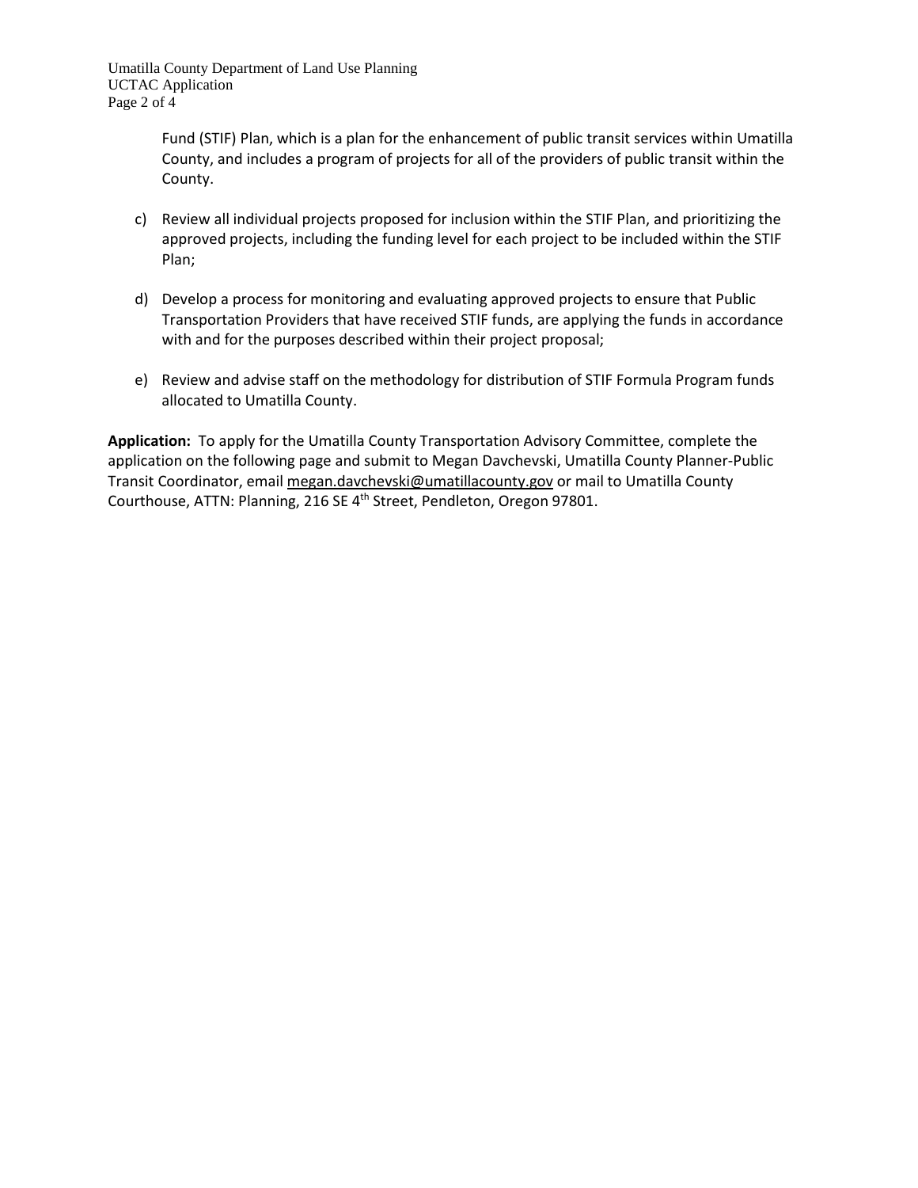Umatilla County Department of Land Use Planning UCTAC Application Page 2 of 4

> Fund (STIF) Plan, which is a plan for the enhancement of public transit services within Umatilla County, and includes a program of projects for all of the providers of public transit within the County.

- c) Review all individual projects proposed for inclusion within the STIF Plan, and prioritizing the approved projects, including the funding level for each project to be included within the STIF Plan;
- d) Develop a process for monitoring and evaluating approved projects to ensure that Public Transportation Providers that have received STIF funds, are applying the funds in accordance with and for the purposes described within their project proposal;
- e) Review and advise staff on the methodology for distribution of STIF Formula Program funds allocated to Umatilla County.

**Application:** To apply for the Umatilla County Transportation Advisory Committee, complete the application on the following page and submit to Megan Davchevski, Umatilla County Planner-Public Transit Coordinator, email megan.davchevski@umatillacounty.gov or mail to Umatilla County Courthouse, ATTN: Planning, 216 SE 4th Street, Pendleton, Oregon 97801.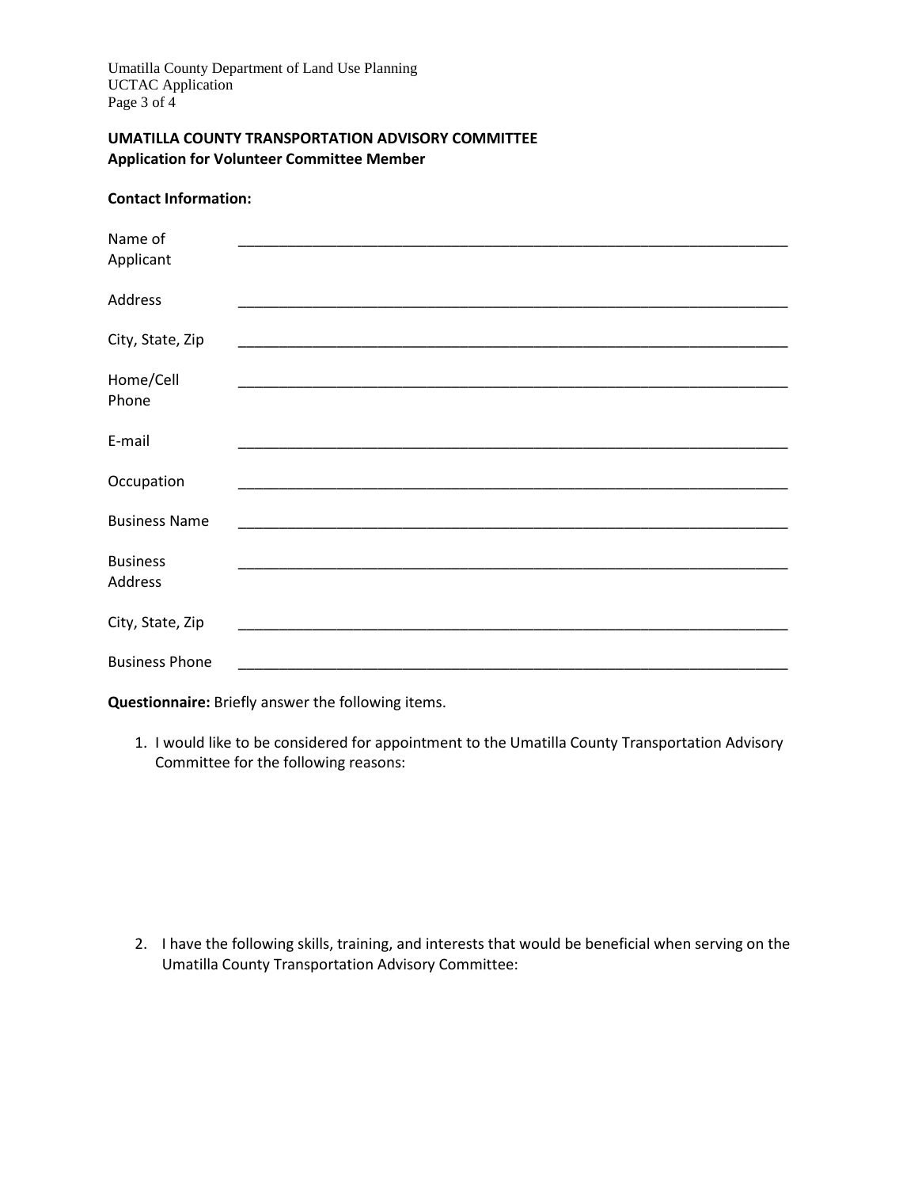**Contact Information:**

## **UMATILLA COUNTY TRANSPORTATION ADVISORY COMMITTEE Application for Volunteer Committee Member**

| Name of               |                                                                                                                       |  |
|-----------------------|-----------------------------------------------------------------------------------------------------------------------|--|
| Applicant             |                                                                                                                       |  |
| Address               |                                                                                                                       |  |
| City, State, Zip      | <u> 1989 - Johann John Stone, mensk politik en beskrivet og en større og store og store og store og store og stor</u> |  |
| Home/Cell             |                                                                                                                       |  |
| Phone                 |                                                                                                                       |  |
| E-mail                |                                                                                                                       |  |
| Occupation            |                                                                                                                       |  |
| <b>Business Name</b>  |                                                                                                                       |  |
| <b>Business</b>       |                                                                                                                       |  |
| Address               |                                                                                                                       |  |
| City, State, Zip      |                                                                                                                       |  |
| <b>Business Phone</b> |                                                                                                                       |  |

**Questionnaire:** Briefly answer the following items.

1. I would like to be considered for appointment to the Umatilla County Transportation Advisory Committee for the following reasons:

2. I have the following skills, training, and interests that would be beneficial when serving on the Umatilla County Transportation Advisory Committee: